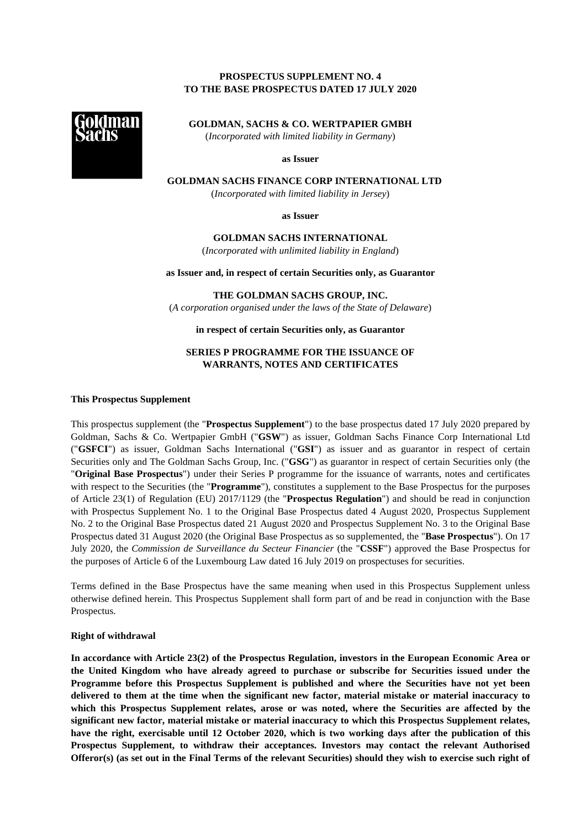# **PROSPECTUS SUPPLEMENT NO. 4 TO THE BASE PROSPECTUS DATED 17 JULY 2020**



**GOLDMAN, SACHS & CO. WERTPAPIER GMBH**  (*Incorporated with limited liability in Germany*)

**as Issuer** 

**GOLDMAN SACHS FINANCE CORP INTERNATIONAL LTD** 

(*Incorporated with limited liability in Jersey*)

**as Issuer** 

## **GOLDMAN SACHS INTERNATIONAL**

(*Incorporated with unlimited liability in England*)

**as Issuer and, in respect of certain Securities only, as Guarantor** 

**THE GOLDMAN SACHS GROUP, INC.** 

(*A corporation organised under the laws of the State of Delaware*)

**in respect of certain Securities only, as Guarantor** 

# **SERIES P PROGRAMME FOR THE ISSUANCE OF WARRANTS, NOTES AND CERTIFICATES**

## **This Prospectus Supplement**

This prospectus supplement (the "**Prospectus Supplement**") to the base prospectus dated 17 July 2020 prepared by Goldman, Sachs & Co. Wertpapier GmbH ("**GSW**") as issuer, Goldman Sachs Finance Corp International Ltd ("**GSFCI**") as issuer, Goldman Sachs International ("**GSI**") as issuer and as guarantor in respect of certain Securities only and The Goldman Sachs Group, Inc. ("**GSG**") as guarantor in respect of certain Securities only (the "**Original Base Prospectus**") under their Series P programme for the issuance of warrants, notes and certificates with respect to the Securities (the "**Programme**"), constitutes a supplement to the Base Prospectus for the purposes of Article 23(1) of Regulation (EU) 2017/1129 (the "**Prospectus Regulation**") and should be read in conjunction with Prospectus Supplement No. 1 to the Original Base Prospectus dated 4 August 2020, Prospectus Supplement No. 2 to the Original Base Prospectus dated 21 August 2020 and Prospectus Supplement No. 3 to the Original Base Prospectus dated 31 August 2020 (the Original Base Prospectus as so supplemented, the "**Base Prospectus**"). On 17 July 2020, the *Commission de Surveillance du Secteur Financier* (the "**CSSF**") approved the Base Prospectus for the purposes of Article 6 of the Luxembourg Law dated 16 July 2019 on prospectuses for securities.

Terms defined in the Base Prospectus have the same meaning when used in this Prospectus Supplement unless otherwise defined herein. This Prospectus Supplement shall form part of and be read in conjunction with the Base Prospectus.

#### **Right of withdrawal**

**In accordance with Article 23(2) of the Prospectus Regulation, investors in the European Economic Area or the United Kingdom who have already agreed to purchase or subscribe for Securities issued under the Programme before this Prospectus Supplement is published and where the Securities have not yet been delivered to them at the time when the significant new factor, material mistake or material inaccuracy to which this Prospectus Supplement relates, arose or was noted, where the Securities are affected by the significant new factor, material mistake or material inaccuracy to which this Prospectus Supplement relates, have the right, exercisable until 12 October 2020, which is two working days after the publication of this Prospectus Supplement, to withdraw their acceptances. Investors may contact the relevant Authorised Offeror(s) (as set out in the Final Terms of the relevant Securities) should they wish to exercise such right of**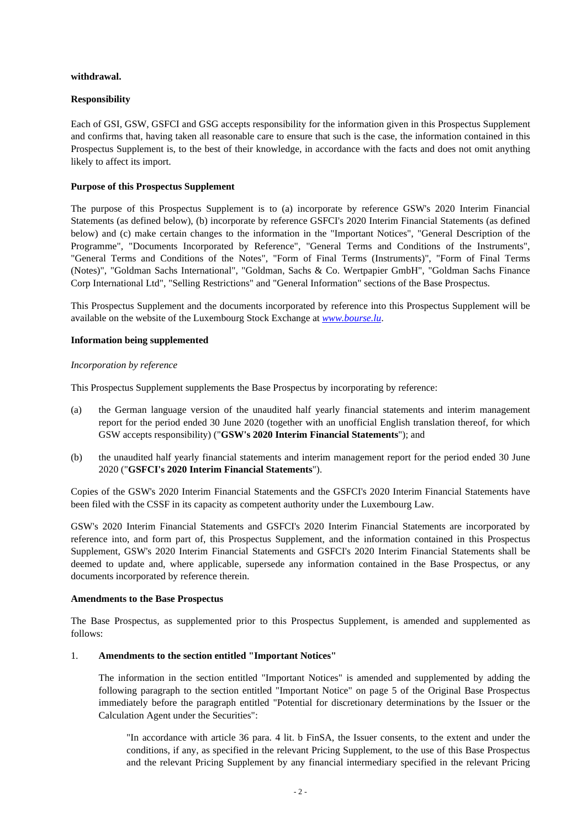## **withdrawal.**

# **Responsibility**

Each of GSI, GSW, GSFCI and GSG accepts responsibility for the information given in this Prospectus Supplement and confirms that, having taken all reasonable care to ensure that such is the case, the information contained in this Prospectus Supplement is, to the best of their knowledge, in accordance with the facts and does not omit anything likely to affect its import.

# **Purpose of this Prospectus Supplement**

The purpose of this Prospectus Supplement is to (a) incorporate by reference GSW's 2020 Interim Financial Statements (as defined below), (b) incorporate by reference GSFCI's 2020 Interim Financial Statements (as defined below) and (c) make certain changes to the information in the "Important Notices", "General Description of the Programme", "Documents Incorporated by Reference", "General Terms and Conditions of the Instruments", "General Terms and Conditions of the Notes", "Form of Final Terms (Instruments)", "Form of Final Terms (Notes)", "Goldman Sachs International", "Goldman, Sachs & Co. Wertpapier GmbH", "Goldman Sachs Finance Corp International Ltd", "Selling Restrictions" and "General Information" sections of the Base Prospectus.

This Prospectus Supplement and the documents incorporated by reference into this Prospectus Supplement will be available on the website of the Luxembourg Stock Exchange at *www.bourse.lu*.

# **Information being supplemented**

## *Incorporation by reference*

This Prospectus Supplement supplements the Base Prospectus by incorporating by reference:

- (a) the German language version of the unaudited half yearly financial statements and interim management report for the period ended 30 June 2020 (together with an unofficial English translation thereof, for which GSW accepts responsibility) ("**GSW's 2020 Interim Financial Statements**"); and
- (b) the unaudited half yearly financial statements and interim management report for the period ended 30 June 2020 ("**GSFCI's 2020 Interim Financial Statements**").

Copies of the GSW's 2020 Interim Financial Statements and the GSFCI's 2020 Interim Financial Statements have been filed with the CSSF in its capacity as competent authority under the Luxembourg Law.

GSW's 2020 Interim Financial Statements and GSFCI's 2020 Interim Financial Statements are incorporated by reference into, and form part of, this Prospectus Supplement, and the information contained in this Prospectus Supplement, GSW's 2020 Interim Financial Statements and GSFCI's 2020 Interim Financial Statements shall be deemed to update and, where applicable, supersede any information contained in the Base Prospectus, or any documents incorporated by reference therein.

## **Amendments to the Base Prospectus**

The Base Prospectus, as supplemented prior to this Prospectus Supplement, is amended and supplemented as follows:

## 1. **Amendments to the section entitled "Important Notices"**

The information in the section entitled "Important Notices" is amended and supplemented by adding the following paragraph to the section entitled "Important Notice" on page 5 of the Original Base Prospectus immediately before the paragraph entitled "Potential for discretionary determinations by the Issuer or the Calculation Agent under the Securities":

"In accordance with article 36 para. 4 lit. b FinSA, the Issuer consents, to the extent and under the conditions, if any, as specified in the relevant Pricing Supplement, to the use of this Base Prospectus and the relevant Pricing Supplement by any financial intermediary specified in the relevant Pricing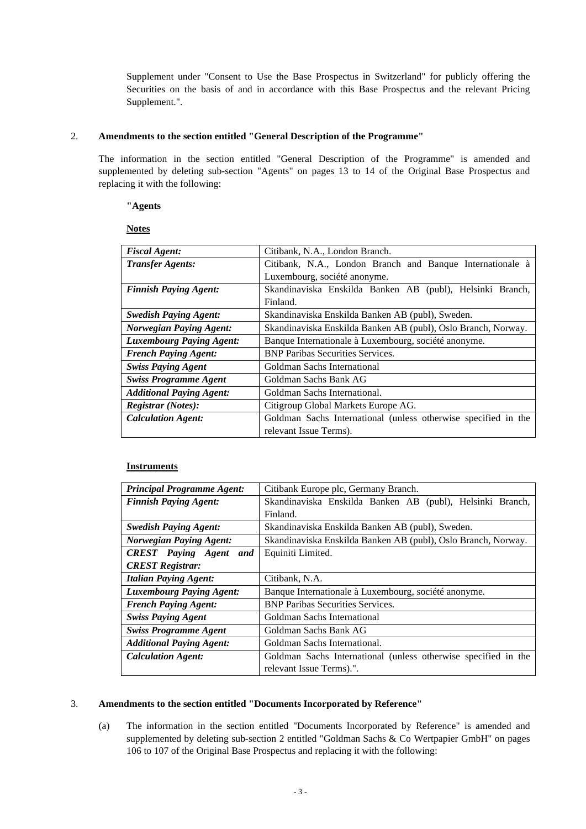Supplement under "Consent to Use the Base Prospectus in Switzerland" for publicly offering the Securities on the basis of and in accordance with this Base Prospectus and the relevant Pricing Supplement.".

## 2. **Amendments to the section entitled "General Description of the Programme"**

The information in the section entitled "General Description of the Programme" is amended and supplemented by deleting sub-section "Agents" on pages 13 to 14 of the Original Base Prospectus and replacing it with the following:

## **"Agents**

## **Notes**

| <b>Fiscal Agent:</b>            | Citibank, N.A., London Branch.                                 |  |  |
|---------------------------------|----------------------------------------------------------------|--|--|
| <b>Transfer Agents:</b>         | Citibank, N.A., London Branch and Banque Internationale à      |  |  |
|                                 | Luxembourg, société anonyme.                                   |  |  |
| <b>Finnish Paying Agent:</b>    | Skandinaviska Enskilda Banken AB (publ), Helsinki Branch,      |  |  |
|                                 | Finland.                                                       |  |  |
| <b>Swedish Paying Agent:</b>    | Skandinaviska Enskilda Banken AB (publ), Sweden.               |  |  |
| <b>Norwegian Paying Agent:</b>  | Skandinaviska Enskilda Banken AB (publ), Oslo Branch, Norway.  |  |  |
| <b>Luxembourg Paying Agent:</b> | Banque Internationale à Luxembourg, société anonyme.           |  |  |
| <b>French Paying Agent:</b>     | <b>BNP Paribas Securities Services.</b>                        |  |  |
| <b>Swiss Paying Agent</b>       | Goldman Sachs International                                    |  |  |
| <b>Swiss Programme Agent</b>    | Goldman Sachs Bank AG                                          |  |  |
| <b>Additional Paying Agent:</b> | Goldman Sachs International.                                   |  |  |
| <b>Registrar</b> (Notes):       | Citigroup Global Markets Europe AG.                            |  |  |
| <b>Calculation Agent:</b>       | Goldman Sachs International (unless otherwise specified in the |  |  |
|                                 | relevant Issue Terms).                                         |  |  |

## **Instruments**

| <b>Principal Programme Agent:</b> | Citibank Europe plc, Germany Branch.                           |  |  |
|-----------------------------------|----------------------------------------------------------------|--|--|
| <b>Finnish Paying Agent:</b>      | Skandinaviska Enskilda Banken AB (publ), Helsinki Branch,      |  |  |
|                                   | Finland.                                                       |  |  |
| <b>Swedish Paying Agent:</b>      | Skandinaviska Enskilda Banken AB (publ), Sweden.               |  |  |
| <b>Norwegian Paying Agent:</b>    | Skandinaviska Enskilda Banken AB (publ), Oslo Branch, Norway.  |  |  |
| <b>CREST</b> Paying Agent<br>and  | Equiniti Limited.                                              |  |  |
| <b>CREST Registrar:</b>           |                                                                |  |  |
| <b>Italian Paying Agent:</b>      | Citibank, N.A.                                                 |  |  |
| <b>Luxembourg Paying Agent:</b>   | Banque Internationale à Luxembourg, société anonyme.           |  |  |
| <b>French Paying Agent:</b>       | <b>BNP Paribas Securities Services.</b>                        |  |  |
| <b>Swiss Paying Agent</b>         | Goldman Sachs International                                    |  |  |
| <b>Swiss Programme Agent</b>      | Goldman Sachs Bank AG                                          |  |  |
| <b>Additional Paying Agent:</b>   | Goldman Sachs International.                                   |  |  |
| <b>Calculation Agent:</b>         | Goldman Sachs International (unless otherwise specified in the |  |  |
|                                   | relevant Issue Terms).".                                       |  |  |

## 3. **Amendments to the section entitled "Documents Incorporated by Reference"**

(a) The information in the section entitled "Documents Incorporated by Reference" is amended and supplemented by deleting sub-section 2 entitled "Goldman Sachs & Co Wertpapier GmbH" on pages 106 to 107 of the Original Base Prospectus and replacing it with the following: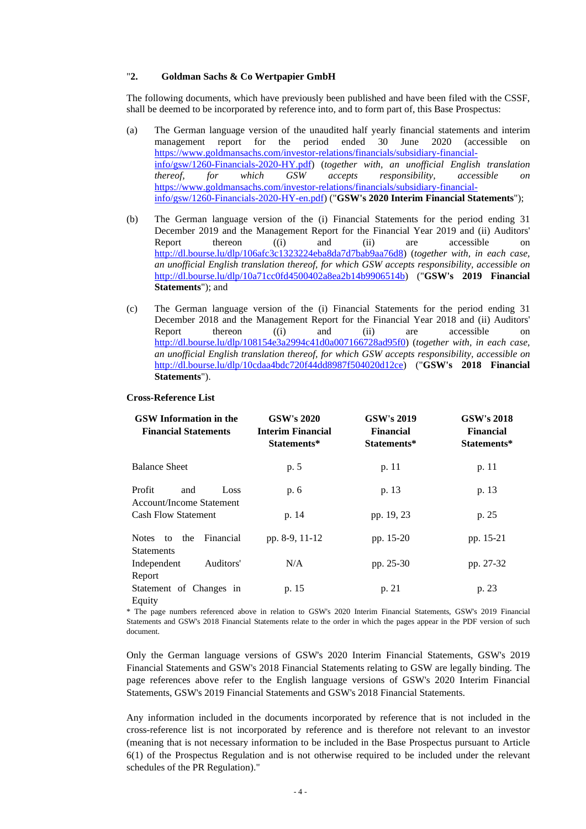## "**2. Goldman Sachs & Co Wertpapier GmbH**

The following documents, which have previously been published and have been filed with the CSSF, shall be deemed to be incorporated by reference into, and to form part of, this Base Prospectus:

- (a) The German language version of the unaudited half yearly financial statements and interim management report for the period ended 30 June 2020 (accessible on https://www.goldmansachs.com/investor-relations/financials/subsidiary-financialinfo/gsw/1260-Financials-2020-HY.pdf) (*together with, an unofficial English translation thereof, for which GSW accepts responsibility, accessible on* https://www.goldmansachs.com/investor-relations/financials/subsidiary-financialinfo/gsw/1260-Financials-2020-HY-en.pdf) ("**GSW's 2020 Interim Financial Statements**");
- (b) The German language version of the (i) Financial Statements for the period ending 31 December 2019 and the Management Report for the Financial Year 2019 and (ii) Auditors' Report thereon ((i) and (ii) are accessible on http://dl.bourse.lu/dlp/106afc3c1323224eba8da7d7bab9aa76d8) (*together with, in each case, an unofficial English translation thereof, for which GSW accepts responsibility, accessible on* http://dl.bourse.lu/dlp/10a71cc0fd4500402a8ea2b14b9906514b) ("**GSW's 2019 Financial Statements**"); and
- (c) The German language version of the (i) Financial Statements for the period ending 31 December 2018 and the Management Report for the Financial Year 2018 and (ii) Auditors' Report thereon ((i) and (ii) are accessible on http://dl.bourse.lu/dlp/108154e3a2994c41d0a007166728ad95f0) (*together with, in each case, an unofficial English translation thereof, for which GSW accepts responsibility, accessible on* http://dl.bourse.lu/dlp/10cdaa4bdc720f44dd8987f504020d12ce) ("**GSW's 2018 Financial Statements**").

#### **Cross-Reference List**

| <b>GSW</b> Information in the<br><b>Financial Statements</b> | <b>GSW's 2020</b><br>Interim Financial<br>Statements* | <b>GSW's 2019</b><br><b>Financial</b><br>Statements* | <b>GSW's 2018</b><br><b>Financial</b><br>Statements* |  |
|--------------------------------------------------------------|-------------------------------------------------------|------------------------------------------------------|------------------------------------------------------|--|
| <b>Balance Sheet</b>                                         | p. 5                                                  | p. 11                                                | p. 11                                                |  |
| Profit<br>Loss<br>and<br>Account/Income Statement            | p. 6                                                  | p. 13                                                | p. 13                                                |  |
| <b>Cash Flow Statement</b>                                   | p. 14                                                 | pp. 19, 23                                           | p. 25                                                |  |
| the<br>Financial<br><b>Notes</b><br>to<br><b>Statements</b>  | pp. 8-9, 11-12                                        | pp. 15-20                                            | pp. 15-21                                            |  |
| Auditors'<br>Independent                                     | N/A                                                   | pp. 25-30                                            | pp. 27-32                                            |  |
| Report                                                       |                                                       |                                                      |                                                      |  |
| Statement of Changes in<br>Equity                            | p. 15                                                 | p. 21                                                | p. 23                                                |  |

\* The page numbers referenced above in relation to GSW's 2020 Interim Financial Statements, GSW's 2019 Financial Statements and GSW's 2018 Financial Statements relate to the order in which the pages appear in the PDF version of such document.

Only the German language versions of GSW's 2020 Interim Financial Statements, GSW's 2019 Financial Statements and GSW's 2018 Financial Statements relating to GSW are legally binding. The page references above refer to the English language versions of GSW's 2020 Interim Financial Statements, GSW's 2019 Financial Statements and GSW's 2018 Financial Statements.

Any information included in the documents incorporated by reference that is not included in the cross-reference list is not incorporated by reference and is therefore not relevant to an investor (meaning that is not necessary information to be included in the Base Prospectus pursuant to Article 6(1) of the Prospectus Regulation and is not otherwise required to be included under the relevant schedules of the PR Regulation)."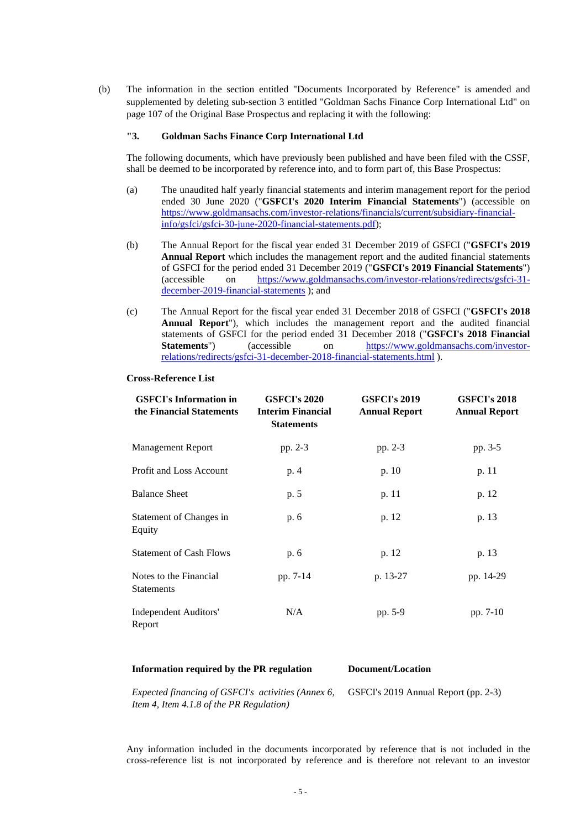(b) The information in the section entitled "Documents Incorporated by Reference" is amended and supplemented by deleting sub-section 3 entitled "Goldman Sachs Finance Corp International Ltd" on page 107 of the Original Base Prospectus and replacing it with the following:

## **"3. Goldman Sachs Finance Corp International Ltd**

The following documents, which have previously been published and have been filed with the CSSF, shall be deemed to be incorporated by reference into, and to form part of, this Base Prospectus:

- (a) The unaudited half yearly financial statements and interim management report for the period ended 30 June 2020 ("**GSFCI's 2020 Interim Financial Statements**") (accessible on https://www.goldmansachs.com/investor-relations/financials/current/subsidiary-financialinfo/gsfci/gsfci-30-june-2020-financial-statements.pdf);
- (b) The Annual Report for the fiscal year ended 31 December 2019 of GSFCI ("**GSFCI's 2019 Annual Report** which includes the management report and the audited financial statements of GSFCI for the period ended 31 December 2019 ("**GSFCI's 2019 Financial Statements**") (accessible on https://www.goldmansachs.com/investor-relations/redirects/gsfci-31 december-2019-financial-statements ); and
- (c) The Annual Report for the fiscal year ended 31 December 2018 of GSFCI ("**GSFCI's 2018 Annual Report**"), which includes the management report and the audited financial statements of GSFCI for the period ended 31 December 2018 ("**GSFCI's 2018 Financial Statements**") (accessible on https://www.goldmansachs.com/investorrelations/redirects/gsfci-31-december-2018-financial-statements.html ).

#### **Cross-Reference List**

| <b>GSFCI's Information in</b><br>the Financial Statements | <b>GSFCI's 2020</b><br><b>Interim Financial</b><br><b>Statements</b> | <b>GSFCI's 2019</b><br><b>Annual Report</b> | <b>GSFCI's 2018</b><br><b>Annual Report</b> |  |
|-----------------------------------------------------------|----------------------------------------------------------------------|---------------------------------------------|---------------------------------------------|--|
| <b>Management Report</b>                                  | pp. 2-3                                                              | pp. 2-3                                     | pp. 3-5                                     |  |
| <b>Profit and Loss Account</b>                            | p. 4                                                                 | p. 10                                       | p. 11                                       |  |
| <b>Balance Sheet</b>                                      | p. 5                                                                 | p. 11                                       | p. 12                                       |  |
| Statement of Changes in<br>Equity                         | p. 6                                                                 | p. 12                                       | p. 13                                       |  |
| <b>Statement of Cash Flows</b>                            | p. 6                                                                 | p. 12                                       | p. 13                                       |  |
| Notes to the Financial<br><b>Statements</b>               | pp. 7-14                                                             | p. 13-27                                    | pp. 14-29                                   |  |
| Independent Auditors'<br>Report                           | N/A                                                                  | pp. 5-9                                     | pp. 7-10                                    |  |

### **Information required by the PR regulation Document/Location**

*Expected financing of GSFCI's activities (Annex 6, Item 4, Item 4.1.8 of the PR Regulation)*  GSFCI's 2019 Annual Report (pp. 2-3)

Any information included in the documents incorporated by reference that is not included in the cross-reference list is not incorporated by reference and is therefore not relevant to an investor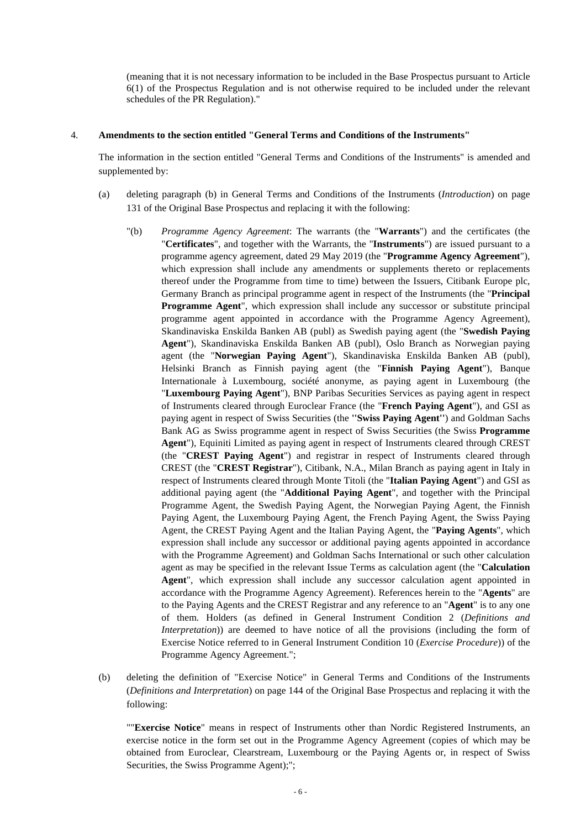(meaning that it is not necessary information to be included in the Base Prospectus pursuant to Article 6(1) of the Prospectus Regulation and is not otherwise required to be included under the relevant schedules of the PR Regulation)."

## 4. **Amendments to the section entitled "General Terms and Conditions of the Instruments"**

The information in the section entitled "General Terms and Conditions of the Instruments" is amended and supplemented by:

- (a) deleting paragraph (b) in General Terms and Conditions of the Instruments (*Introduction*) on page 131 of the Original Base Prospectus and replacing it with the following:
	- "(b) *Programme Agency Agreement*: The warrants (the "**Warrants**") and the certificates (the "**Certificates**", and together with the Warrants, the "**Instruments**") are issued pursuant to a programme agency agreement, dated 29 May 2019 (the "**Programme Agency Agreement**"), which expression shall include any amendments or supplements thereto or replacements thereof under the Programme from time to time) between the Issuers, Citibank Europe plc, Germany Branch as principal programme agent in respect of the Instruments (the "**Principal Programme Agent**", which expression shall include any successor or substitute principal programme agent appointed in accordance with the Programme Agency Agreement), Skandinaviska Enskilda Banken AB (publ) as Swedish paying agent (the "**Swedish Paying Agent**"), Skandinaviska Enskilda Banken AB (publ), Oslo Branch as Norwegian paying agent (the "**Norwegian Paying Agent**"), Skandinaviska Enskilda Banken AB (publ), Helsinki Branch as Finnish paying agent (the "**Finnish Paying Agent**"), Banque Internationale à Luxembourg, société anonyme, as paying agent in Luxembourg (the "**Luxembourg Paying Agent**"), BNP Paribas Securities Services as paying agent in respect of Instruments cleared through Euroclear France (the "**French Paying Agent**"), and GSI as paying agent in respect of Swiss Securities (the **''Swiss Paying Agent''**) and Goldman Sachs Bank AG as Swiss programme agent in respect of Swiss Securities (the Swiss **Programme Agent**"), Equiniti Limited as paying agent in respect of Instruments cleared through CREST (the "**CREST Paying Agent**") and registrar in respect of Instruments cleared through CREST (the "**CREST Registrar**"), Citibank, N.A., Milan Branch as paying agent in Italy in respect of Instruments cleared through Monte Titoli (the "**Italian Paying Agent**") and GSI as additional paying agent (the "**Additional Paying Agent**", and together with the Principal Programme Agent, the Swedish Paying Agent, the Norwegian Paying Agent, the Finnish Paying Agent, the Luxembourg Paying Agent, the French Paying Agent, the Swiss Paying Agent, the CREST Paying Agent and the Italian Paying Agent, the "**Paying Agents**", which expression shall include any successor or additional paying agents appointed in accordance with the Programme Agreement) and Goldman Sachs International or such other calculation agent as may be specified in the relevant Issue Terms as calculation agent (the "**Calculation Agent**", which expression shall include any successor calculation agent appointed in accordance with the Programme Agency Agreement). References herein to the "**Agents**" are to the Paying Agents and the CREST Registrar and any reference to an "**Agent**" is to any one of them. Holders (as defined in General Instrument Condition 2 (*Definitions and Interpretation*)) are deemed to have notice of all the provisions (including the form of Exercise Notice referred to in General Instrument Condition 10 (*Exercise Procedure*)) of the Programme Agency Agreement.";
- (b) deleting the definition of "Exercise Notice" in General Terms and Conditions of the Instruments (*Definitions and Interpretation*) on page 144 of the Original Base Prospectus and replacing it with the following:

""**Exercise Notice**" means in respect of Instruments other than Nordic Registered Instruments, an exercise notice in the form set out in the Programme Agency Agreement (copies of which may be obtained from Euroclear, Clearstream, Luxembourg or the Paying Agents or, in respect of Swiss Securities, the Swiss Programme Agent);";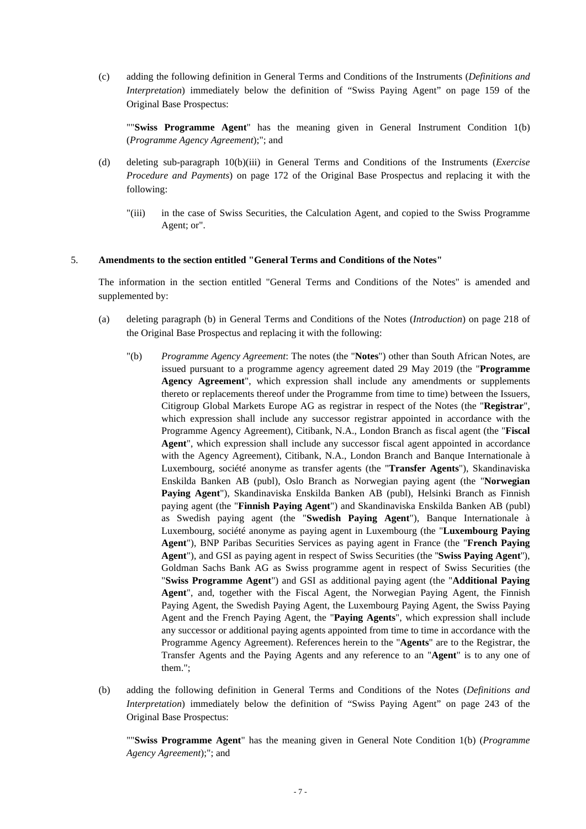(c) adding the following definition in General Terms and Conditions of the Instruments (*Definitions and Interpretation*) immediately below the definition of "Swiss Paying Agent" on page 159 of the Original Base Prospectus:

""**Swiss Programme Agent**" has the meaning given in General Instrument Condition 1(b) (*Programme Agency Agreement*);"; and

- (d) deleting sub-paragraph 10(b)(iii) in General Terms and Conditions of the Instruments (*Exercise Procedure and Payments*) on page 172 of the Original Base Prospectus and replacing it with the following:
	- "(iii) in the case of Swiss Securities, the Calculation Agent, and copied to the Swiss Programme Agent; or".

#### 5. **Amendments to the section entitled "General Terms and Conditions of the Notes"**

The information in the section entitled "General Terms and Conditions of the Notes" is amended and supplemented by:

- (a) deleting paragraph (b) in General Terms and Conditions of the Notes (*Introduction*) on page 218 of the Original Base Prospectus and replacing it with the following:
	- "(b) *Programme Agency Agreement*: The notes (the "**Notes**") other than South African Notes, are issued pursuant to a programme agency agreement dated 29 May 2019 (the "**Programme Agency Agreement**", which expression shall include any amendments or supplements thereto or replacements thereof under the Programme from time to time) between the Issuers, Citigroup Global Markets Europe AG as registrar in respect of the Notes (the "**Registrar**", which expression shall include any successor registrar appointed in accordance with the Programme Agency Agreement), Citibank, N.A., London Branch as fiscal agent (the "**Fiscal Agent**", which expression shall include any successor fiscal agent appointed in accordance with the Agency Agreement), Citibank, N.A., London Branch and Banque Internationale à Luxembourg, société anonyme as transfer agents (the "**Transfer Agents**"), Skandinaviska Enskilda Banken AB (publ), Oslo Branch as Norwegian paying agent (the "**Norwegian Paying Agent**"), Skandinaviska Enskilda Banken AB (publ), Helsinki Branch as Finnish paying agent (the "**Finnish Paying Agent**") and Skandinaviska Enskilda Banken AB (publ) as Swedish paying agent (the "**Swedish Paying Agent**"), Banque Internationale à Luxembourg, société anonyme as paying agent in Luxembourg (the "**Luxembourg Paying Agent**"), BNP Paribas Securities Services as paying agent in France (the "**French Paying Agent**"), and GSI as paying agent in respect of Swiss Securities (the ''**Swiss Paying Agent**''), Goldman Sachs Bank AG as Swiss programme agent in respect of Swiss Securities (the "**Swiss Programme Agent**") and GSI as additional paying agent (the "**Additional Paying Agent**", and, together with the Fiscal Agent, the Norwegian Paying Agent, the Finnish Paying Agent, the Swedish Paying Agent, the Luxembourg Paying Agent, the Swiss Paying Agent and the French Paying Agent, the "**Paying Agents**", which expression shall include any successor or additional paying agents appointed from time to time in accordance with the Programme Agency Agreement). References herein to the "**Agents**" are to the Registrar, the Transfer Agents and the Paying Agents and any reference to an "**Agent**" is to any one of them.";
- (b) adding the following definition in General Terms and Conditions of the Notes (*Definitions and Interpretation*) immediately below the definition of "Swiss Paying Agent" on page 243 of the Original Base Prospectus:

""**Swiss Programme Agent**" has the meaning given in General Note Condition 1(b) (*Programme Agency Agreement*);"; and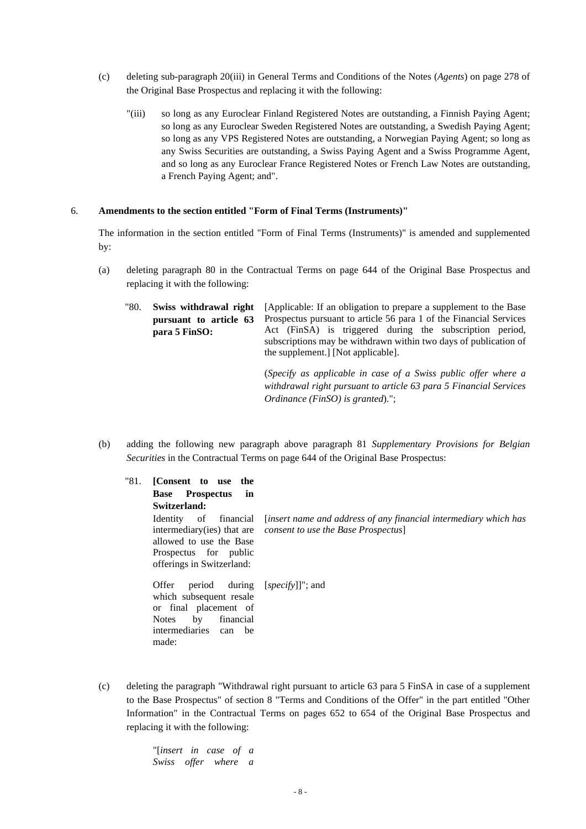- (c) deleting sub-paragraph 20(iii) in General Terms and Conditions of the Notes (*Agents*) on page 278 of the Original Base Prospectus and replacing it with the following:
	- "(iii) so long as any Euroclear Finland Registered Notes are outstanding, a Finnish Paying Agent; so long as any Euroclear Sweden Registered Notes are outstanding, a Swedish Paying Agent; so long as any VPS Registered Notes are outstanding, a Norwegian Paying Agent; so long as any Swiss Securities are outstanding, a Swiss Paying Agent and a Swiss Programme Agent, and so long as any Euroclear France Registered Notes or French Law Notes are outstanding, a French Paying Agent; and".

### 6. **Amendments to the section entitled "Form of Final Terms (Instruments)"**

The information in the section entitled "Form of Final Terms (Instruments)" is amended and supplemented by:

- (a) deleting paragraph 80 in the Contractual Terms on page 644 of the Original Base Prospectus and replacing it with the following:
	- "80. **Swiss withdrawal right pursuant to article 63 para 5 FinSO:** [Applicable: If an obligation to prepare a supplement to the Base Prospectus pursuant to article 56 para 1 of the Financial Services Act (FinSA) is triggered during the subscription period, subscriptions may be withdrawn within two days of publication of the supplement.] [Not applicable].

(*Specify as applicable in case of a Swiss public offer where a withdrawal right pursuant to article 63 para 5 Financial Services Ordinance (FinSO) is granted*).";

(b) adding the following new paragraph above paragraph 81 *Supplementary Provisions for Belgian Securities* in the Contractual Terms on page 644 of the Original Base Prospectus:

| "81. | [Consent to use the                                                                                                                         |                                                                                                               |
|------|---------------------------------------------------------------------------------------------------------------------------------------------|---------------------------------------------------------------------------------------------------------------|
|      | Prospectus<br><b>Base</b><br>in                                                                                                             |                                                                                                               |
|      | Switzerland:                                                                                                                                |                                                                                                               |
|      | Identity of financial<br>intermediary(ies) that are<br>allowed to use the Base<br>Prospectus for public<br>offerings in Switzerland:        | <i>linsert name and address of any financial intermediary which has</i><br>consent to use the Base Prospectus |
|      | Offer<br>period<br>which subsequent resale<br>or final placement of<br>by<br>financial<br><b>Notes</b><br>intermediaries can<br>be<br>made: | during [ <i>specify</i> ]]"; and                                                                              |

(c) deleting the paragraph "Withdrawal right pursuant to article 63 para 5 FinSA in case of a supplement to the Base Prospectus" of section 8 "Terms and Conditions of the Offer" in the part entitled "Other Information" in the Contractual Terms on pages 652 to 654 of the Original Base Prospectus and replacing it with the following:

> "[*insert in case of a Swiss offer where a*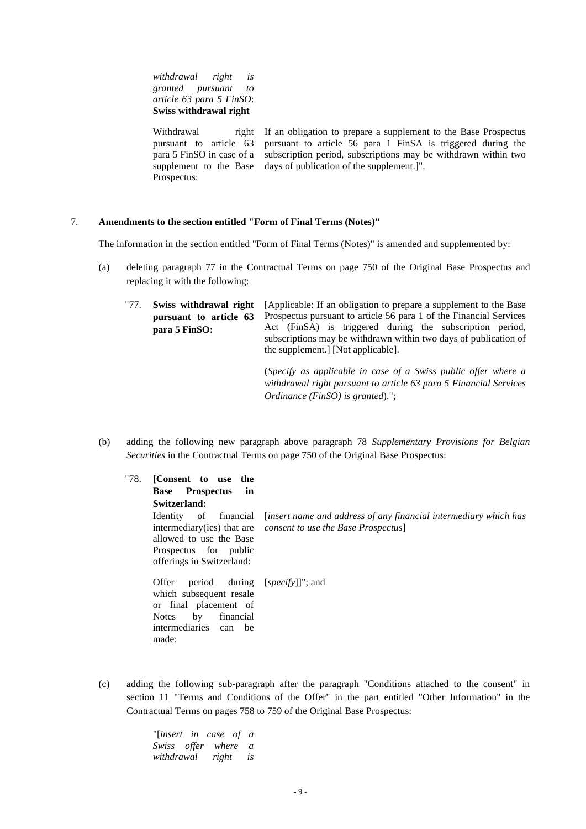*withdrawal right is granted pursuant to article 63 para 5 FinSO*: **Swiss withdrawal right**

Withdrawal right pursuant to article 63 para 5 FinSO in case of a supplement to the Base Prospectus: If an obligation to prepare a supplement to the Base Prospectus pursuant to article 56 para 1 FinSA is triggered during the subscription period, subscriptions may be withdrawn within two days of publication of the supplement.]".

## 7. **Amendments to the section entitled "Form of Final Terms (Notes)"**

The information in the section entitled "Form of Final Terms (Notes)" is amended and supplemented by:

- (a) deleting paragraph 77 in the Contractual Terms on page 750 of the Original Base Prospectus and replacing it with the following:
	- "77. **Swiss withdrawal right pursuant to article 63 para 5 FinSO:** [Applicable: If an obligation to prepare a supplement to the Base Prospectus pursuant to article 56 para 1 of the Financial Services Act (FinSA) is triggered during the subscription period, subscriptions may be withdrawn within two days of publication of the supplement.] [Not applicable].

(*Specify as applicable in case of a Swiss public offer where a withdrawal right pursuant to article 63 para 5 Financial Services Ordinance (FinSO) is granted*).";

(b) adding the following new paragraph above paragraph 78 *Supplementary Provisions for Belgian Securities* in the Contractual Terms on page 750 of the Original Base Prospectus:

| "78. | [Consent to use the<br>Prospectus<br><b>Base</b><br>in                                                                                                                       |                                                                                                                                                 |
|------|------------------------------------------------------------------------------------------------------------------------------------------------------------------------------|-------------------------------------------------------------------------------------------------------------------------------------------------|
|      | Switzerland:                                                                                                                                                                 |                                                                                                                                                 |
|      | Identity of financial<br>allowed to use the Base<br>Prospectus for public<br>offerings in Switzerland:                                                                       | <i>linsert name and address of any financial intermediary which has</i><br>intermediary(ies) that are <i>consent to use the Base Prospectus</i> |
|      | period during [ <i>specify</i> ]]"; and<br>Offer<br>which subsequent resale<br>or final placement of<br>by<br>financial<br><b>Notes</b><br>intermediaries can<br>be<br>made: |                                                                                                                                                 |

(c) adding the following sub-paragraph after the paragraph "Conditions attached to the consent" in section 11 "Terms and Conditions of the Offer" in the part entitled "Other Information" in the Contractual Terms on pages 758 to 759 of the Original Base Prospectus:

> "[*insert in case of a Swiss offer where a withdrawal right is*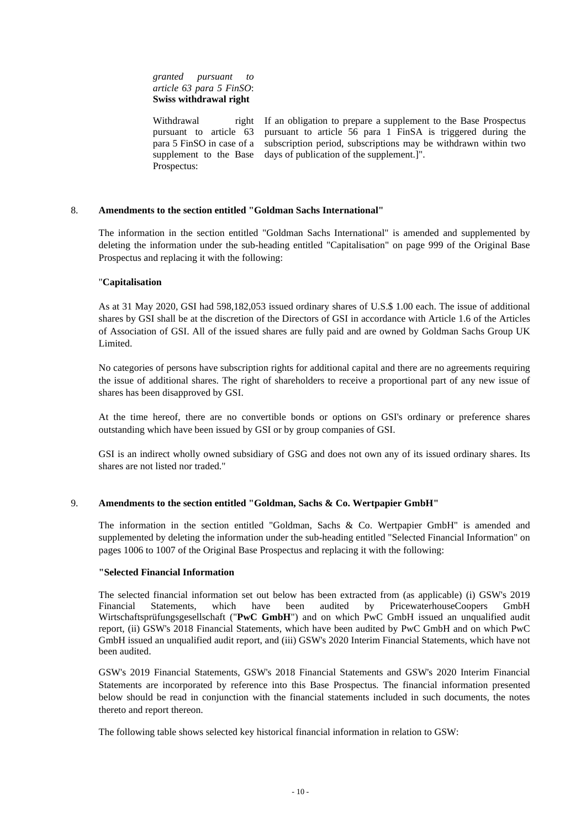*granted pursuant to article 63 para 5 FinSO*: **Swiss withdrawal right**

Withdrawal right pursuant to article 63 para 5 FinSO in case of a supplement to the Base Prospectus: If an obligation to prepare a supplement to the Base Prospectus pursuant to article 56 para 1 FinSA is triggered during the subscription period, subscriptions may be withdrawn within two days of publication of the supplement.]".

## 8. **Amendments to the section entitled "Goldman Sachs International"**

The information in the section entitled "Goldman Sachs International" is amended and supplemented by deleting the information under the sub-heading entitled "Capitalisation" on page 999 of the Original Base Prospectus and replacing it with the following:

## "**Capitalisation**

As at 31 May 2020, GSI had 598,182,053 issued ordinary shares of U.S.\$ 1.00 each. The issue of additional shares by GSI shall be at the discretion of the Directors of GSI in accordance with Article 1.6 of the Articles of Association of GSI. All of the issued shares are fully paid and are owned by Goldman Sachs Group UK Limited.

No categories of persons have subscription rights for additional capital and there are no agreements requiring the issue of additional shares. The right of shareholders to receive a proportional part of any new issue of shares has been disapproved by GSI.

At the time hereof, there are no convertible bonds or options on GSI's ordinary or preference shares outstanding which have been issued by GSI or by group companies of GSI.

GSI is an indirect wholly owned subsidiary of GSG and does not own any of its issued ordinary shares. Its shares are not listed nor traded."

## 9. **Amendments to the section entitled "Goldman, Sachs & Co. Wertpapier GmbH"**

The information in the section entitled "Goldman, Sachs & Co. Wertpapier GmbH" is amended and supplemented by deleting the information under the sub-heading entitled "Selected Financial Information" on pages 1006 to 1007 of the Original Base Prospectus and replacing it with the following:

#### **"Selected Financial Information**

The selected financial information set out below has been extracted from (as applicable) (i) GSW's 2019 Financial Statements, which have been audited by PricewaterhouseCoopers GmbH Wirtschaftsprüfungsgesellschaft ("**PwC GmbH**") and on which PwC GmbH issued an unqualified audit report, (ii) GSW's 2018 Financial Statements, which have been audited by PwC GmbH and on which PwC GmbH issued an unqualified audit report, and (iii) GSW's 2020 Interim Financial Statements, which have not been audited.

GSW's 2019 Financial Statements, GSW's 2018 Financial Statements and GSW's 2020 Interim Financial Statements are incorporated by reference into this Base Prospectus. The financial information presented below should be read in conjunction with the financial statements included in such documents, the notes thereto and report thereon.

The following table shows selected key historical financial information in relation to GSW: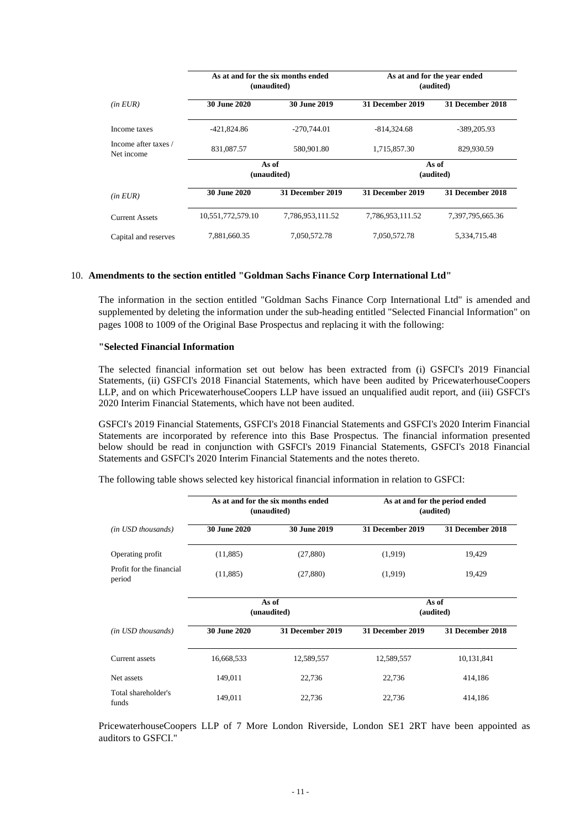|                                    | As at and for the six months ended<br>(unaudited) |                         | As at and for the year ended<br>(audited) |                         |
|------------------------------------|---------------------------------------------------|-------------------------|-------------------------------------------|-------------------------|
| (in EUR)                           | 30 June 2020                                      | 30 June 2019            | 31 December 2019                          | <b>31 December 2018</b> |
| Income taxes                       | -421,824.86                                       | $-270.744.01$           | $-814,324.68$                             | $-389,205.93$           |
| Income after taxes /<br>Net income | 831,087.57                                        | 580,901.80              | 1,715,857.30                              | 829,930.59              |
|                                    | As of<br>(unaudited)                              |                         |                                           | As of<br>(audited)      |
| (in EUR)                           | 30 June 2020                                      | <b>31 December 2019</b> | 31 December 2019                          | <b>31 December 2018</b> |
| <b>Current Assets</b>              | 10,551,772,579.10                                 | 7,786,953,111.52        | 7,786,953,111.52                          | 7,397,795,665.36        |
| Capital and reserves               | 7,881,660.35                                      | 7,050,572.78            | 7,050,572.78                              | 5,334,715.48            |

### 10. **Amendments to the section entitled "Goldman Sachs Finance Corp International Ltd"**

The information in the section entitled "Goldman Sachs Finance Corp International Ltd" is amended and supplemented by deleting the information under the sub-heading entitled "Selected Financial Information" on pages 1008 to 1009 of the Original Base Prospectus and replacing it with the following:

#### **"Selected Financial Information**

The selected financial information set out below has been extracted from (i) GSFCI's 2019 Financial Statements, (ii) GSFCI's 2018 Financial Statements, which have been audited by PricewaterhouseCoopers LLP, and on which PricewaterhouseCoopers LLP have issued an unqualified audit report, and (iii) GSFCI's 2020 Interim Financial Statements, which have not been audited.

GSFCI's 2019 Financial Statements, GSFCI's 2018 Financial Statements and GSFCI's 2020 Interim Financial Statements are incorporated by reference into this Base Prospectus. The financial information presented below should be read in conjunction with GSFCI's 2019 Financial Statements, GSFCI's 2018 Financial Statements and GSFCI's 2020 Interim Financial Statements and the notes thereto.

The following table shows selected key historical financial information in relation to GSFCI:

|                                    | As at and for the six months ended<br>(unaudited) |                      | As at and for the period ended<br>(audited) |                  |
|------------------------------------|---------------------------------------------------|----------------------|---------------------------------------------|------------------|
| (in USD thousands)                 | 30 June 2020                                      | 30 June 2019         | 31 December 2019                            | 31 December 2018 |
| Operating profit                   | (11,885)                                          | (27, 880)            | (1,919)                                     | 19,429           |
| Profit for the financial<br>period | (11,885)                                          | (27, 880)            | (1,919)                                     | 19,429           |
|                                    |                                                   | As of<br>(unaudited) | As of<br>(audited)                          |                  |
| (in USD thousands)                 | 30 June 2020                                      | 31 December 2019     | 31 December 2019                            | 31 December 2018 |
| Current assets                     | 16,668,533                                        | 12,589,557           | 12,589,557                                  | 10,131,841       |
| Net assets                         | 149,011                                           | 22,736               | 22,736                                      | 414,186          |
| Total shareholder's<br>funds       | 149,011                                           | 22,736               | 22,736                                      | 414,186          |

PricewaterhouseCoopers LLP of 7 More London Riverside, London SE1 2RT have been appointed as auditors to GSFCI."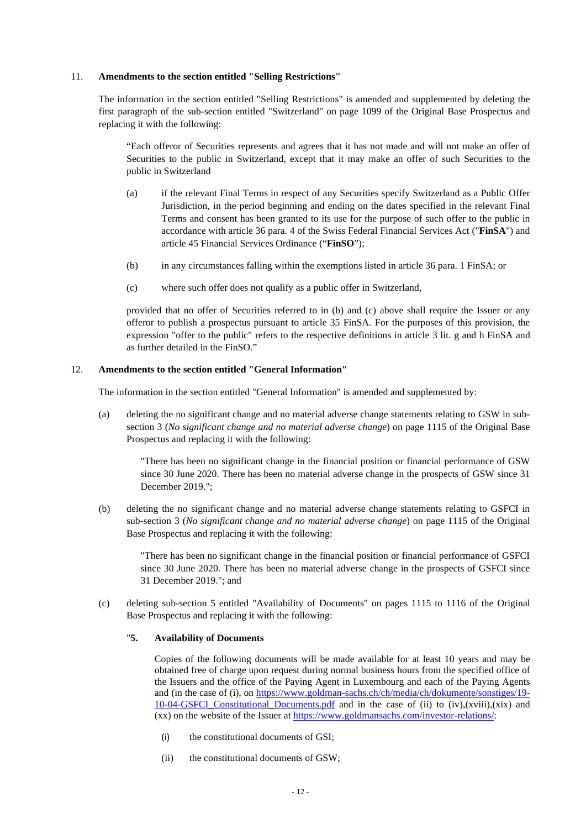## 11. **Amendments to the section entitled "Selling Restrictions"**

The information in the section entitled "Selling Restrictions" is amended and supplemented by deleting the first paragraph of the sub-section entitled "Switzerland" on page 1099 of the Original Base Prospectus and replacing it with the following:

"Each offeror of Securities represents and agrees that it has not made and will not make an offer of Securities to the public in Switzerland, except that it may make an offer of such Securities to the public in Switzerland

- (a) if the relevant Final Terms in respect of any Securities specify Switzerland as a Public Offer Jurisdiction, in the period beginning and ending on the dates specified in the relevant Final Terms and consent has been granted to its use for the purpose of such offer to the public in accordance with article 36 para. 4 of the Swiss Federal Financial Services Act ("**FinSA**") and article 45 Financial Services Ordinance ("**FinSO**");
- (b) in any circumstances falling within the exemptions listed in article 36 para. 1 FinSA; or
- (c) where such offer does not qualify as a public offer in Switzerland,

provided that no offer of Securities referred to in (b) and (c) above shall require the Issuer or any offeror to publish a prospectus pursuant to article 35 FinSA. For the purposes of this provision, the expression "offer to the public" refers to the respective definitions in article 3 lit. g and h FinSA and as further detailed in the FinSO."

## 12. **Amendments to the section entitled "General Information"**

The information in the section entitled "General Information" is amended and supplemented by:

(a) deleting the no significant change and no material adverse change statements relating to GSW in subsection 3 (*No significant change and no material adverse change*) on page 1115 of the Original Base Prospectus and replacing it with the following:

"There has been no significant change in the financial position or financial performance of GSW since 30 June 2020. There has been no material adverse change in the prospects of GSW since 31 December 2019.";

(b) deleting the no significant change and no material adverse change statements relating to GSFCI in sub-section 3 (*No significant change and no material adverse change*) on page 1115 of the Original Base Prospectus and replacing it with the following:

"There has been no significant change in the financial position or financial performance of GSFCI since 30 June 2020. There has been no material adverse change in the prospects of GSFCI since 31 December 2019."; and

(c) deleting sub-section 5 entitled "Availability of Documents" on pages 1115 to 1116 of the Original Base Prospectus and replacing it with the following:

## "**5. Availability of Documents**

Copies of the following documents will be made available for at least 10 years and may be obtained free of charge upon request during normal business hours from the specified office of the Issuers and the office of the Paying Agent in Luxembourg and each of the Paying Agents and (in the case of (i), on https://www.goldman-sachs.ch/ch/media/ch/dokumente/sonstiges/19-  $10-04-GSFCI$  Constitutional Documents.pdf and in the case of (ii) to (iv),(xviii),(xix) and (xx) on the website of the Issuer at https://www.goldmansachs.com/investor-relations/:

- (i) the constitutional documents of GSI;
- (ii) the constitutional documents of GSW;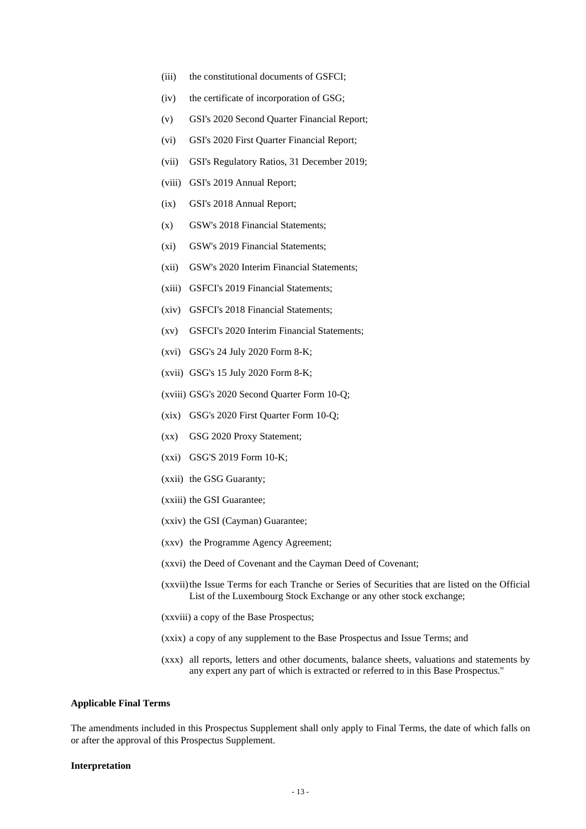- (iii) the constitutional documents of GSFCI;
- (iv) the certificate of incorporation of GSG;
- (v) GSI's 2020 Second Quarter Financial Report;
- (vi) GSI's 2020 First Quarter Financial Report;
- (vii) GSI's Regulatory Ratios, 31 December 2019;
- (viii) GSI's 2019 Annual Report;
- (ix) GSI's 2018 Annual Report;
- (x) GSW's 2018 Financial Statements;
- (xi) GSW's 2019 Financial Statements;
- (xii) GSW's 2020 Interim Financial Statements;
- (xiii) GSFCI's 2019 Financial Statements;
- (xiv) GSFCI's 2018 Financial Statements;
- (xv) GSFCI's 2020 Interim Financial Statements;
- (xvi) GSG's 24 July 2020 Form 8-K;
- (xvii) GSG's 15 July 2020 Form 8-K;
- (xviii) GSG's 2020 Second Quarter Form 10-Q;
- (xix) GSG's 2020 First Quarter Form 10-Q;
- (xx) GSG 2020 Proxy Statement;
- (xxi) GSG'S 2019 Form 10-K;
- (xxii) the GSG Guaranty;
- (xxiii) the GSI Guarantee;
- (xxiv) the GSI (Cayman) Guarantee;
- (xxv) the Programme Agency Agreement;
- (xxvi) the Deed of Covenant and the Cayman Deed of Covenant;
- (xxvii) the Issue Terms for each Tranche or Series of Securities that are listed on the Official List of the Luxembourg Stock Exchange or any other stock exchange;
- (xxviii) a copy of the Base Prospectus;
- (xxix) a copy of any supplement to the Base Prospectus and Issue Terms; and
- (xxx) all reports, letters and other documents, balance sheets, valuations and statements by any expert any part of which is extracted or referred to in this Base Prospectus."

#### **Applicable Final Terms**

The amendments included in this Prospectus Supplement shall only apply to Final Terms, the date of which falls on or after the approval of this Prospectus Supplement.

#### **Interpretation**